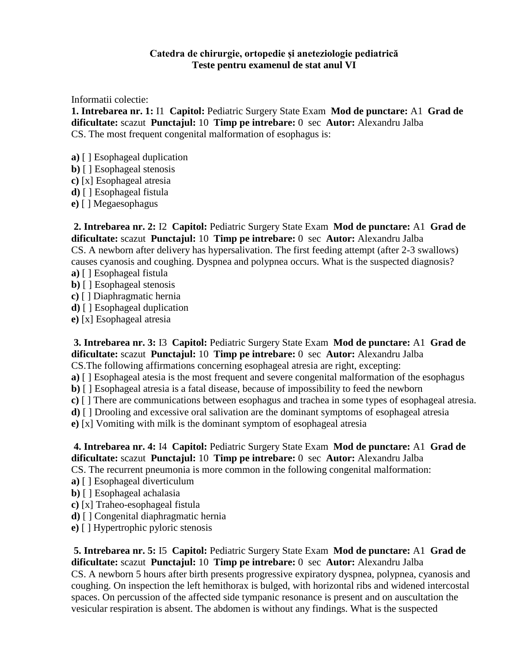## **Catedra de chirurgie, ortopedie și aneteziologie pediatrică Teste pentru examenul de stat anul VI**

Informatii colectie:

**1. Intrebarea nr. 1:** I1 **Capitol:** Pediatric Surgery State Exam **Mod de punctare:** A1 **Grad de dificultate:** scazut **Punctajul:** 10 **Timp pe intrebare:** 0 sec **Autor:** Alexandru Jalba CS. The most frequent congenital malformation of esophagus is:

- **a)** [ ] Esophageal duplication
- **b)** [ ] Esophageal stenosis
- **c)** [x] Esophageal atresia
- **d)** [ ] Esophageal fistula
- **e)** [ ] Megaesophagus

**2. Intrebarea nr. 2:** I2 **Capitol:** Pediatric Surgery State Exam **Mod de punctare:** A1 **Grad de dificultate:** scazut **Punctajul:** 10 **Timp pe intrebare:** 0 sec **Autor:** Alexandru Jalba CS. A newborn after delivery has hypersalivation. The first feeding attempt (after 2-3 swallows) causes cyanosis and coughing. Dyspnea and polypnea occurs. What is the suspected diagnosis?

- **a)** [ ] Esophageal fistula
- **b)** [ ] Esophageal stenosis
- **c)** [ ] Diaphragmatic hernia
- **d)** [ ] Esophageal duplication
- **e)** [x] Esophageal atresia

**3. Intrebarea nr. 3:** I3 **Capitol:** Pediatric Surgery State Exam **Mod de punctare:** A1 **Grad de dificultate:** scazut **Punctajul:** 10 **Timp pe intrebare:** 0 sec **Autor:** Alexandru Jalba CS.The following affirmations concerning esophageal atresia are right, excepting:

- **a)** [ ] Esophageal atesia is the most frequent and severe congenital malformation of the esophagus
- 
- **b)** [ ] Esophageal atresia is a fatal disease, because of impossibility to feed the newborn
- **c)** [ ] There are communications between esophagus and trachea in some types of esophageal atresia.
- **d)** [ ] Drooling and excessive oral salivation are the dominant symptoms of esophageal atresia
- **e)** [x] Vomiting with milk is the dominant symptom of esophageal atresia

**4. Intrebarea nr. 4:** I4 **Capitol:** Pediatric Surgery State Exam **Mod de punctare:** A1 **Grad de dificultate:** scazut **Punctajul:** 10 **Timp pe intrebare:** 0 sec **Autor:** Alexandru Jalba CS. The recurrent pneumonia is more common in the following congenital malformation:

- **a)** [ ] Esophageal diverticulum
- **b)** [ ] Esophageal achalasia
- **c)** [x] Traheo-esophageal fistula
- **d)** [ ] Congenital diaphragmatic hernia
- **e)** [ ] Hypertrophic pyloric stenosis

**5. Intrebarea nr. 5:** I5 **Capitol:** Pediatric Surgery State Exam **Mod de punctare:** A1 **Grad de dificultate:** scazut **Punctajul:** 10 **Timp pe intrebare:** 0 sec **Autor:** Alexandru Jalba CS. A newborn 5 hours after birth presents progressive expiratory dyspnea, polypnea, cyanosis and coughing. On inspection the left hemithorax is bulged, with horizontal ribs and widened intercostal spaces. On percussion of the affected side tympanic resonance is present and on auscultation the vesicular respiration is absent. The abdomen is without any findings. What is the suspected